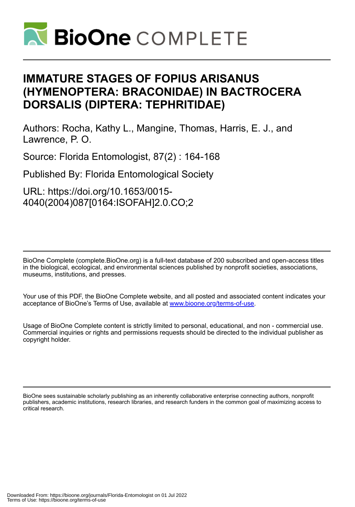

# **IMMATURE STAGES OF FOPIUS ARISANUS (HYMENOPTERA: BRACONIDAE) IN BACTROCERA DORSALIS (DIPTERA: TEPHRITIDAE)**

Authors: Rocha, Kathy L., Mangine, Thomas, Harris, E. J., and Lawrence, P. O.

Source: Florida Entomologist, 87(2) : 164-168

Published By: Florida Entomological Society

URL: https://doi.org/10.1653/0015- 4040(2004)087[0164:ISOFAH]2.0.CO;2

BioOne Complete (complete.BioOne.org) is a full-text database of 200 subscribed and open-access titles in the biological, ecological, and environmental sciences published by nonprofit societies, associations, museums, institutions, and presses.

Your use of this PDF, the BioOne Complete website, and all posted and associated content indicates your acceptance of BioOne's Terms of Use, available at www.bioone.org/terms-of-use.

Usage of BioOne Complete content is strictly limited to personal, educational, and non - commercial use. Commercial inquiries or rights and permissions requests should be directed to the individual publisher as copyright holder.

BioOne sees sustainable scholarly publishing as an inherently collaborative enterprise connecting authors, nonprofit publishers, academic institutions, research libraries, and research funders in the common goal of maximizing access to critical research.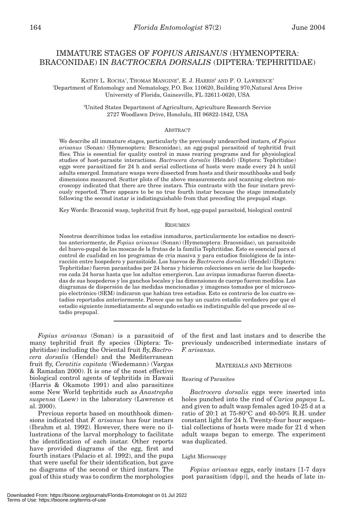# IMMATURE STAGES OF *FOPIUS ARISANUS* (HYMENOPTERA: BRACONIDAE) IN *BACTROCERA DORSALIS* (DIPTERA: TEPHRITIDAE)

KATHY L. ROCHA<sup>1</sup>, THOMAS MANGINE<sup>2</sup>, E. J. HARRIS<sup>2</sup> AND P. O. LAWRENCE<sup>1</sup> 1 Department of Entomology and Nematology, P.O. Box 110620, Building 970,Natural Area Drive University of Florida, Gainesville, FL 32611-0620, USA

> 2 United States Department of Agriculture, Agriculture Research Service 2727 Woodlawn Drive, Honolulu, HI 96822-1842, USA

### ABSTRACT

We describe all immature stages, particularly the previously undescribed instars, of *Fopius arisanus* (Sonan) (Hymenoptera: Braconidae), an egg-pupal parasitoid of tephritid fruit flies. This is essential for quality control in mass rearing programs and for physiological studies of host-parasite interactions. *Bactrocera dorsalis* (Hendel) (Diptera: Tephritidae) eggs were parasitized for 24 h and serial collections of hosts were made every 24 h until adults emerged. Immature wasps were dissected from hosts and their mouthhooks and body dimensions measured. Scatter plots of the above measurements and scanning electron microscopy indicated that there are three instars. This contrasts with the four instars previously reported. There appears to be no true fourth instar because the stage immediately following the second instar is indistinguishable from that preceding the prepupal stage.

Key Words: Braconid wasp, tephritid fruit fly host, egg-pupal parasitoid, biological control

#### RESUMEN

Nosotros describimos todas los estadíos inmaduros, particularmente los estadios no descritos anteriormente, de *Fopius arisanus* (Sonan) (Hymenoptera: Braconidae), un parasitoide del huevo-pupal de las moscas de la frutas de la familia Tephritidae. Esto es esencial para el control de cualidad en los programas de cria masiva y para estudios fisiológicos de la interacción entre hospedero y parasitoide. Los huevos de *Bactrocera dorsalis* (Hendel) (Diptera: Tephritidae) fueron parasitados por 24 horas y hicieron colecciones en serie de los hospederos cada 24 horas hasta que los adultos emergieron. Las avispas inmaduras fueron disectadas de sus hospederos y los ganchos bocales y las dimensiones de cuerpo fueron medidos. Las diagramas de dispersión de las medidas mencionadas y imagenes tomados por el microscopio electrónico (SEM) indicaron que habian tres estadíos. Esto es contrario de los cuatro estadíos reportados anteriormente. Parece que no hay un cuatro estadío verdadero por que el estadío siguiente inmediatamente al segundo estadío es indistinguible del que precede al estadío prepupal.

*Fopius arisanus* (Sonan) is a parasitoid of many tephritid fruit fly species (Diptera: Tephritidae) including the Oriental fruit fly, *Bactrocera dorsalis* (Hendel) and the Mediterranean fruit fly, *Ceratitis capitata* (Wiedemann) (Vargas & Ramadan 2000). It is one of the most effective biological control agents of tephritids in Hawaii (Harris & Okamoto 1991) and also parasitizes some New World tephritids such as *Anastrepha suspensa* (Loew) in the laboratory (Lawrence et al. 2000).

Previous reports based on mouthhook dimensions indicated that *F. arisanus* has four instars (Ibrahm et al. 1992). However, there were no illustrations of the larval morphology to facilitate the identification of each instar. Other reports have provided diagrams of the egg, first and fourth instars (Palacio et al. 1992), and the pupa that were useful for their identification, but gave no diagrams of the second or third instars. The goal of this study was to confirm the morphologies of the first and last instars and to describe the previously undescribed intermediate instars of *F. arisanus*.

#### MATERIALS AND METHODS

#### Rearing of Parasites

*Bactrocera dorsalis* eggs were inserted into holes punched into the rind of *Carica papaya* L. and given to adult wasp females aged 10-25 d at a ratio of 20:1 at 75-80°C and 40-50% R.H. under constant light for 24 h. Twenty-four hour sequential collections of hosts were made for 21 d when adult wasps began to emerge. The experiment was duplicated.

#### Light Microscopy

*Fopius arisanus* eggs, early instars [1-7 days post parasitism (dpp)], and the heads of late in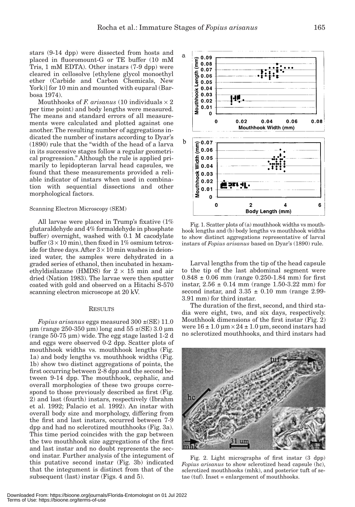stars (9-14 dpp) were dissected from hosts and placed in fluoromount-G or TE buffer (10 mM Tris, 1 mM EDTA). Other instars (7-9 dpp) were cleared in cellosolve [ethylene glycol monoethyl ether (Carbide and Carbon Chemicals, New York)] for 10 min and mounted with euparal (Barbosa 1974).

Mouthhooks of  $F$ .  $arisanus$  (10 individuals  $\times$  2 per time point) and body lengths were measured. The means and standard errors of all measurements were calculated and plotted against one another. The resulting number of aggregations indicated the number of instars according to Dyar's (1890) rule that the "width of the head of a larva in its successive stages follow a regular geometrical progression." Although the rule is applied primarily to lepidopteran larval head capsules, we found that these measurements provided a reliable indicator of instars when used in combination with sequential dissections and other morphological factors.

#### Scanning Electron Microscopy (SEM)

All larvae were placed in Trump's fixative (1% glutaraldehyde and 4% formaldehyde in phosphate buffer) overnight, washed with 0.1 M cacodylate buffer  $(3 \times 10 \text{ min})$ , then fixed in 1% osmium tetroxide for three days. After  $3 \times 10$  min washes in deionized water, the samples were dehydrated in a graded series of ethanol, then incubated in hexamethyldisilazane (HMDS) for  $2 \times 15$  min and air dried (Nation 1983). The larvae were then sputter coated with gold and observed on a Hitachi S-570 scanning electron microscope at 20 kV.

#### **RESULTS**

*Fopius arisanus* eggs measured 300 ±(SE) 11.0  $\mu$ m (range 250-350  $\mu$ m) long and 55  $\pm$ (SE) 3.0  $\mu$ m (range 50-75 µm) wide. The egg stage lasted 1-2 d and eggs were observed 0-2 dpp. Scatter plots of mouthhook widths vs. mouthhook lengths (Fig. 1a) and body lengths vs. mouthhook widths (Fig. 1b) show two distinct aggregations of points, the first occurring between 2-8 dpp and the second between 9-14 dpp. The mouthhook, cephalic, and overall morphologies of these two groups correspond to those previously described as first (Fig. 2) and last (fourth) instars, respectively (Ibrahm et al. 1992; Palacio et al. 1992). An instar with overall body size and morphology, differing from the first and last instars, occurred between 7-9 dpp and had no sclerotized mouthhooks (Fig. 3a). This time period coincides with the gap between the two mouthhook size aggregations of the first and last instar and no doubt represents the second instar. Further analysis of the integument of this putative second instar (Fig. 3b) indicated that the integument is distinct from that of the subsequent (last) instar (Figs. 4 and 5).



Fig. 1. Scatter plots of (a) mouthhook widths vs mouthhook lengths and (b) body lengths vs mouthhook widths to show distinct aggregations representative of larval instars of *Fopius arisanus* based on Dyar's (1890) rule.

Larval lengths from the tip of the head capsule to the tip of the last abdominal segment were  $0.848 \pm 0.06$  mm (range 0.250-1.84 mm) for first instar,  $2.56 \pm 0.14$  mm (range 1.50-3.22 mm) for second instar, and  $3.35 \pm 0.10$  mm (range 2.99-3.91 mm) for third instar.

The duration of the first, second, and third stadia were eight, two, and six days, respectively. Mouthhook dimensions of the first instar (Fig. 2) were  $16 \pm 1.0$   $\mu$ m  $\times$   $24 \pm 1.0$   $\mu$ m, second instars had no sclerotized mouthhooks, and third instars had



Fig. 2. Light micrographs of first instar (3 dpp) *Fopius arisanus* to show sclerotized head capsule (hc), sclerotized mouthhooks (mhk), and posterior tuft of setae (tuf). Inset = enlargement of mouthhooks.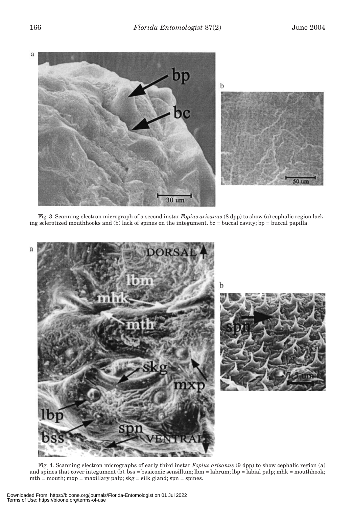

Fig. 3. Scanning electron micrograph of a second instar *Fopius arisanus* (8 dpp) to show (a) cephalic region lacking sclerotized mouthhooks and (b) lack of spines on the integument. bc = buccal cavity; bp = buccal papilla.



Fig. 4. Scanning electron micrographs of early third instar *Fopius arisanus* (9 dpp) to show cephalic region (a) and spines that cover integument (b). bss = basiconic sensillum; lbm = labrum; lbp = labial palp; mhk = mouthhook; mth = mouth; mxp = maxillary palp; skg = silk gland; spn = spines.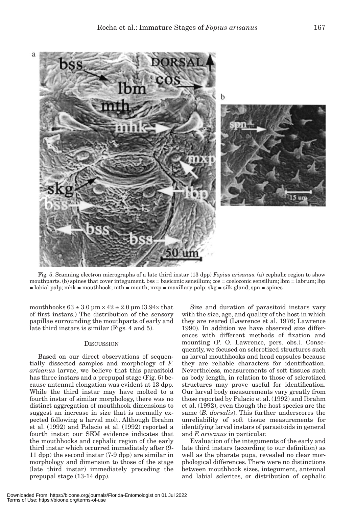

Fig. 5. Scanning electron micrographs of a late third instar (13 dpp) *Fopius arisanus*. (a) cephalic region to show mouthparts. (b) spines that cover integument. bss = basiconic sensillum; cos = coeloconic sensillum; lbm = labrum; lbp  $=$  labial palp; mhk = mouthhook; mth = mouth; mxp = maxillary palp; skg = silk gland; spn = spines.

mouthhooks  $63 \pm 3.0 \text{ µm} \times 42 \pm 2.0 \text{ µm}$   $(3.94 \times \text{that})$ of first instars.) The distribution of the sensory papillae surrounding the mouthparts of early and late third instars is similar (Figs. 4 and 5).

# **DISCUSSION**

Based on our direct observations of sequentially dissected samples and morphology of *F. arisanus* larvae, we believe that this parasitoid has three instars and a prepupal stage (Fig. 6) because antennal elongation was evident at 13 dpp. While the third instar may have molted to a fourth instar of similar morphology, there was no distinct aggregation of mouthhook dimensions to suggest an increase in size that is normally expected following a larval molt. Although Ibrahm et al. (1992) and Palacio et al. (1992) reported a fourth instar, our SEM evidence indicates that the mouthhooks and cephalic region of the early third instar which occurred immediately after (9- 11 dpp) the second instar (7-9 dpp) are similar in morphology and dimension to those of the stage (late third instar) immediately preceding the prepupal stage (13-14 dpp).

Size and duration of parasitoid instars vary with the size, age, and quality of the host in which they are reared (Lawrence et al. 1976; Lawrence 1990). In addition we have observed size differences with different methods of fixation and mounting (P. O. Lawrence, pers. obs.). Consequently, we focused on sclerotized structures such as larval mouthhooks and head capsules because they are reliable characters for identification. Nevertheless, measurements of soft tissues such as body length, in relation to those of sclerotized structures may prove useful for identification. Our larval body measurements vary greatly from those reported by Palacio et al. (1992) and Ibrahm et al. (1992), even though the host species are the same (*B. dorsalis*). This further underscores the unreliability of soft tissue measurements for identifying larval instars of parasitoids in general and *F. arisanus* in particular.

Evaluation of the integuments of the early and late third instars (according to our definition) as well as the pharate pupa, revealed no clear morphological differences. There were no distinctions between mouthhook sizes, integument, antennal and labial sclerites, or distribution of cephalic